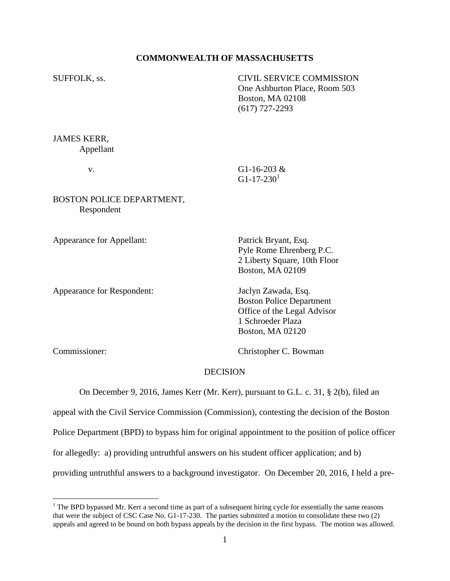### **COMMONWEALTH OF MASSACHUSETTS**

SUFFOLK, ss. CIVIL SERVICE COMMISSION One Ashburton Place, Room 503 Boston, MA 02108 (617) 727-2293

JAMES KERR, Appellant

 v. G1-16-203 &  $G1-17-230<sup>1</sup>$ 

### BOSTON POLICE DEPARTMENT, Respondent

Appearance for Appellant: Patrick Bryant, Esq.

Appearance for Respondent: Jaclyn Zawada, Esq.

Pyle Rome Ehrenberg P.C. 2 Liberty Square, 10th Floor Boston, MA 02109

Boston Police Department Office of the Legal Advisor 1 Schroeder Plaza Boston, MA 02120

 $\overline{a}$ 

Commissioner: Christopher C. Bowman

#### DECISION

On December 9, 2016, James Kerr (Mr. Kerr), pursuant to G.L. c. 31, § 2(b), filed an

appeal with the Civil Service Commission (Commission), contesting the decision of the Boston

Police Department (BPD) to bypass him for original appointment to the position of police officer

for allegedly: a) providing untruthful answers on his student officer application; and b)

providing untruthful answers to a background investigator. On December 20, 2016, I held a pre-

 $<sup>1</sup>$  The BPD bypassed Mr. Kerr a second time as part of a subsequent hiring cycle for essentially the same reasons</sup> that were the subject of CSC Case No. G1-17-230. The parties submitted a motion to consolidate these two (2) appeals and agreed to be bound on both bypass appeals by the decision in the first bypass. The motion was allowed.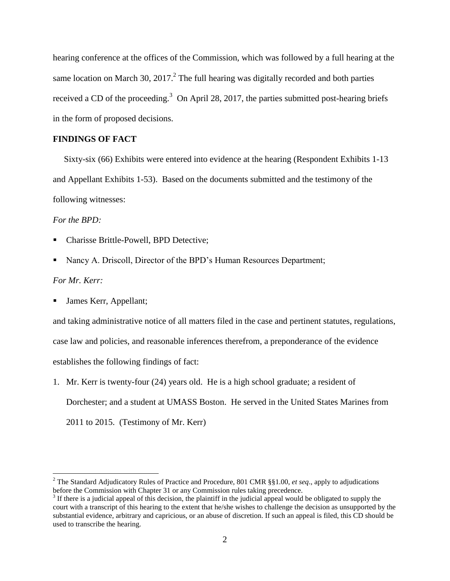hearing conference at the offices of the Commission, which was followed by a full hearing at the same location on March 30, 2017.<sup>2</sup> The full hearing was digitally recorded and both parties received a CD of the proceeding.<sup>3</sup> On April 28, 2017, the parties submitted post-hearing briefs in the form of proposed decisions.

## **FINDINGS OF FACT**

 Sixty-six (66) Exhibits were entered into evidence at the hearing (Respondent Exhibits 1-13 and Appellant Exhibits 1-53). Based on the documents submitted and the testimony of the following witnesses:

*For the BPD:*

- Charisse Brittle-Powell, BPD Detective;
- Nancy A. Driscoll, Director of the BPD's Human Resources Department;

# *For Mr. Kerr:*

 $\overline{a}$ 

James Kerr, Appellant;

and taking administrative notice of all matters filed in the case and pertinent statutes, regulations, case law and policies, and reasonable inferences therefrom, a preponderance of the evidence establishes the following findings of fact:

1. Mr. Kerr is twenty-four (24) years old. He is a high school graduate; a resident of Dorchester; and a student at UMASS Boston. He served in the United States Marines from 2011 to 2015. (Testimony of Mr. Kerr)

<sup>2</sup> The Standard Adjudicatory Rules of Practice and Procedure, 801 CMR §§1.00, *et seq*., apply to adjudications before the Commission with Chapter 31 or any Commission rules taking precedence.

 $3$  If there is a judicial appeal of this decision, the plaintiff in the judicial appeal would be obligated to supply the court with a transcript of this hearing to the extent that he/she wishes to challenge the decision as unsupported by the substantial evidence, arbitrary and capricious, or an abuse of discretion. If such an appeal is filed, this CD should be used to transcribe the hearing.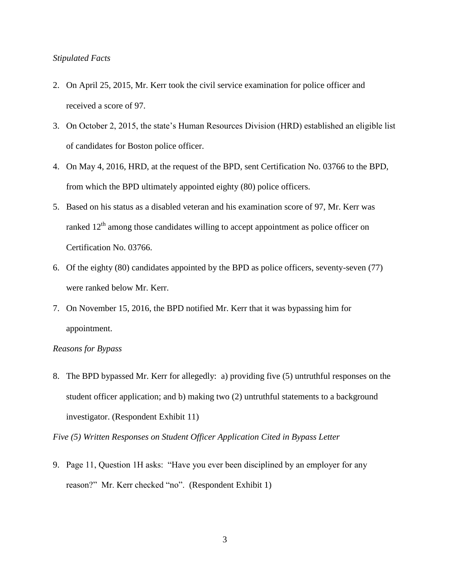### *Stipulated Facts*

- 2. On April 25, 2015, Mr. Kerr took the civil service examination for police officer and received a score of 97.
- 3. On October 2, 2015, the state's Human Resources Division (HRD) established an eligible list of candidates for Boston police officer.
- 4. On May 4, 2016, HRD, at the request of the BPD, sent Certification No. 03766 to the BPD, from which the BPD ultimately appointed eighty (80) police officers.
- 5. Based on his status as a disabled veteran and his examination score of 97, Mr. Kerr was ranked  $12<sup>th</sup>$  among those candidates willing to accept appointment as police officer on Certification No. 03766.
- 6. Of the eighty (80) candidates appointed by the BPD as police officers, seventy-seven (77) were ranked below Mr. Kerr.
- 7. On November 15, 2016, the BPD notified Mr. Kerr that it was bypassing him for appointment.

### *Reasons for Bypass*

8. The BPD bypassed Mr. Kerr for allegedly: a) providing five (5) untruthful responses on the student officer application; and b) making two (2) untruthful statements to a background investigator. (Respondent Exhibit 11)

*Five (5) Written Responses on Student Officer Application Cited in Bypass Letter*

9. Page 11, Question 1H asks: "Have you ever been disciplined by an employer for any reason?" Mr. Kerr checked "no". (Respondent Exhibit 1)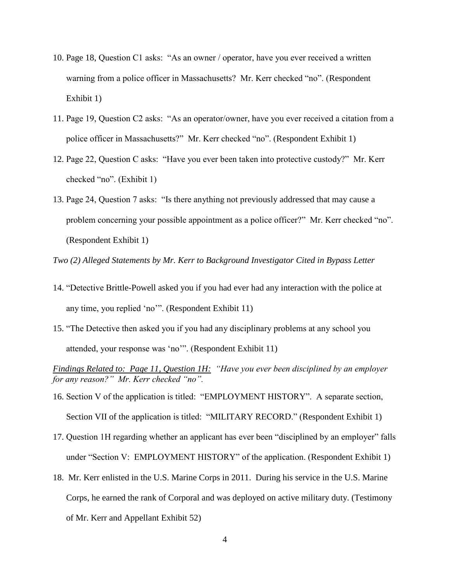- 10. Page 18, Question C1 asks: "As an owner / operator, have you ever received a written warning from a police officer in Massachusetts? Mr. Kerr checked "no". (Respondent Exhibit 1)
- 11. Page 19, Question C2 asks: "As an operator/owner, have you ever received a citation from a police officer in Massachusetts?" Mr. Kerr checked "no". (Respondent Exhibit 1)
- 12. Page 22, Question C asks: "Have you ever been taken into protective custody?" Mr. Kerr checked "no". (Exhibit 1)
- 13. Page 24, Question 7 asks: "Is there anything not previously addressed that may cause a problem concerning your possible appointment as a police officer?" Mr. Kerr checked "no". (Respondent Exhibit 1)

*Two (2) Alleged Statements by Mr. Kerr to Background Investigator Cited in Bypass Letter*

- 14. "Detective Brittle-Powell asked you if you had ever had any interaction with the police at any time, you replied 'no'". (Respondent Exhibit 11)
- 15. "The Detective then asked you if you had any disciplinary problems at any school you attended, your response was 'no'". (Respondent Exhibit 11)

*Findings Related to: Page 11, Question 1H: "Have you ever been disciplined by an employer for any reason?" Mr. Kerr checked "no".* 

- 16. Section V of the application is titled: "EMPLOYMENT HISTORY". A separate section, Section VII of the application is titled: "MILITARY RECORD." (Respondent Exhibit 1)
- 17. Question 1H regarding whether an applicant has ever been "disciplined by an employer" falls under "Section V: EMPLOYMENT HISTORY" of the application. (Respondent Exhibit 1)
- 18. Mr. Kerr enlisted in the U.S. Marine Corps in 2011. During his service in the U.S. Marine Corps, he earned the rank of Corporal and was deployed on active military duty. (Testimony of Mr. Kerr and Appellant Exhibit 52)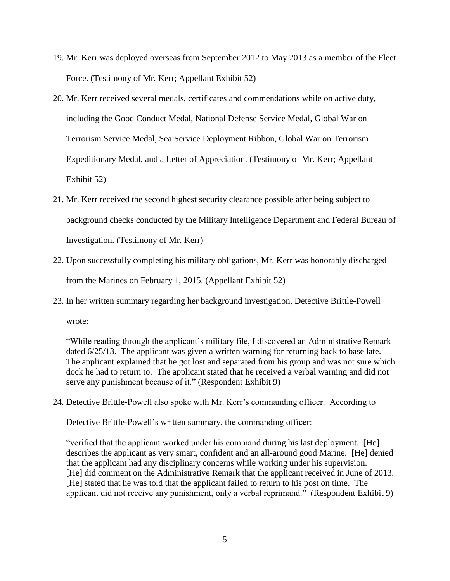- 19. Mr. Kerr was deployed overseas from September 2012 to May 2013 as a member of the Fleet Force. (Testimony of Mr. Kerr; Appellant Exhibit 52)
- 20. Mr. Kerr received several medals, certificates and commendations while on active duty, including the Good Conduct Medal, National Defense Service Medal, Global War on Terrorism Service Medal, Sea Service Deployment Ribbon, Global War on Terrorism Expeditionary Medal, and a Letter of Appreciation. (Testimony of Mr. Kerr; Appellant Exhibit 52)
- 21. Mr. Kerr received the second highest security clearance possible after being subject to background checks conducted by the Military Intelligence Department and Federal Bureau of Investigation. (Testimony of Mr. Kerr)
- 22. Upon successfully completing his military obligations, Mr. Kerr was honorably discharged from the Marines on February 1, 2015. (Appellant Exhibit 52)
- 23. In her written summary regarding her background investigation, Detective Brittle-Powell wrote:

"While reading through the applicant's military file, I discovered an Administrative Remark dated  $6/25/13$ . The applicant was given a written warning for returning back to base late. The applicant explained that he got lost and separated from his group and was not sure which dock he had to return to. The applicant stated that he received a verbal warning and did not serve any punishment because of it." (Respondent Exhibit 9)

24. Detective Brittle-Powell also spoke with Mr. Kerr's commanding officer. According to

Detective Brittle-Powell's written summary, the commanding officer:

"verified that the applicant worked under his command during his last deployment. [He] describes the applicant as very smart, confident and an all-around good Marine. [He] denied that the applicant had any disciplinary concerns while working under his supervision. [He] did comment on the Administrative Remark that the applicant received in June of 2013. [He] stated that he was told that the applicant failed to return to his post on time. The applicant did not receive any punishment, only a verbal reprimand." (Respondent Exhibit 9)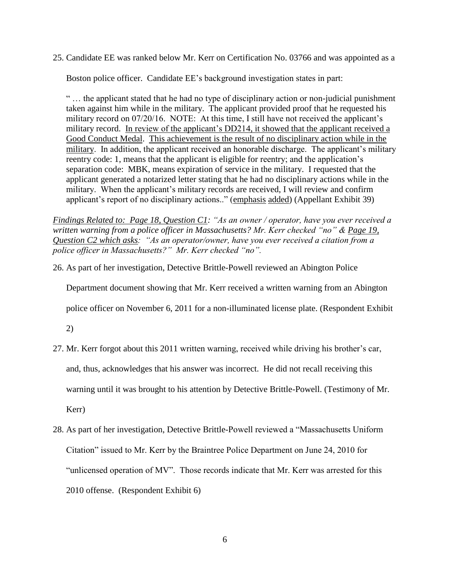25. Candidate EE was ranked below Mr. Kerr on Certification No. 03766 and was appointed as a

Boston police officer. Candidate EE's background investigation states in part:

" … the applicant stated that he had no type of disciplinary action or non-judicial punishment taken against him while in the military. The applicant provided proof that he requested his military record on 07/20/16. NOTE: At this time, I still have not received the applicant's military record. In review of the applicant's DD214, it showed that the applicant received a Good Conduct Medal. This achievement is the result of no disciplinary action while in the military. In addition, the applicant received an honorable discharge. The applicant's military reentry code: 1, means that the applicant is eligible for reentry; and the application's separation code: MBK, means expiration of service in the military. I requested that the applicant generated a notarized letter stating that he had no disciplinary actions while in the military. When the applicant's military records are received, I will review and confirm applicant's report of no disciplinary actions.." (emphasis added) (Appellant Exhibit 39)

*Findings Related to: Page 18, Question C1: "As an owner / operator, have you ever received a written warning from a police officer in Massachusetts? Mr. Kerr checked "no" & Page 19, Question C2 which asks: "As an operator/owner, have you ever received a citation from a police officer in Massachusetts?" Mr. Kerr checked "no".*

26. As part of her investigation, Detective Brittle-Powell reviewed an Abington Police

Department document showing that Mr. Kerr received a written warning from an Abington

police officer on November 6, 2011 for a non-illuminated license plate. (Respondent Exhibit

2)

27. Mr. Kerr forgot about this 2011 written warning, received while driving his brother's car,

and, thus, acknowledges that his answer was incorrect. He did not recall receiving this

warning until it was brought to his attention by Detective Brittle-Powell. (Testimony of Mr.

Kerr)

28. As part of her investigation, Detective Brittle-Powell reviewed a "Massachusetts Uniform Citation" issued to Mr. Kerr by the Braintree Police Department on June 24, 2010 for "unlicensed operation of MV". Those records indicate that Mr. Kerr was arrested for this 2010 offense. (Respondent Exhibit 6)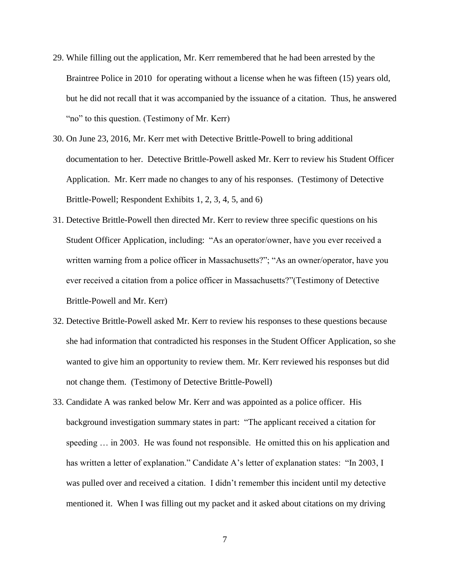- 29. While filling out the application, Mr. Kerr remembered that he had been arrested by the Braintree Police in 2010 for operating without a license when he was fifteen (15) years old, but he did not recall that it was accompanied by the issuance of a citation. Thus, he answered "no" to this question. (Testimony of Mr. Kerr)
- 30. On June 23, 2016, Mr. Kerr met with Detective Brittle-Powell to bring additional documentation to her. Detective Brittle-Powell asked Mr. Kerr to review his Student Officer Application. Mr. Kerr made no changes to any of his responses. (Testimony of Detective Brittle-Powell; Respondent Exhibits 1, 2, 3, 4, 5, and 6)
- 31. Detective Brittle-Powell then directed Mr. Kerr to review three specific questions on his Student Officer Application, including: "As an operator/owner, have you ever received a written warning from a police officer in Massachusetts?"; "As an owner/operator, have you ever received a citation from a police officer in Massachusetts?"(Testimony of Detective Brittle-Powell and Mr. Kerr)
- 32. Detective Brittle-Powell asked Mr. Kerr to review his responses to these questions because she had information that contradicted his responses in the Student Officer Application, so she wanted to give him an opportunity to review them. Mr. Kerr reviewed his responses but did not change them. (Testimony of Detective Brittle-Powell)
- 33. Candidate A was ranked below Mr. Kerr and was appointed as a police officer. His background investigation summary states in part: "The applicant received a citation for speeding … in 2003. He was found not responsible. He omitted this on his application and has written a letter of explanation." Candidate A's letter of explanation states: "In 2003, I was pulled over and received a citation. I didn't remember this incident until my detective mentioned it. When I was filling out my packet and it asked about citations on my driving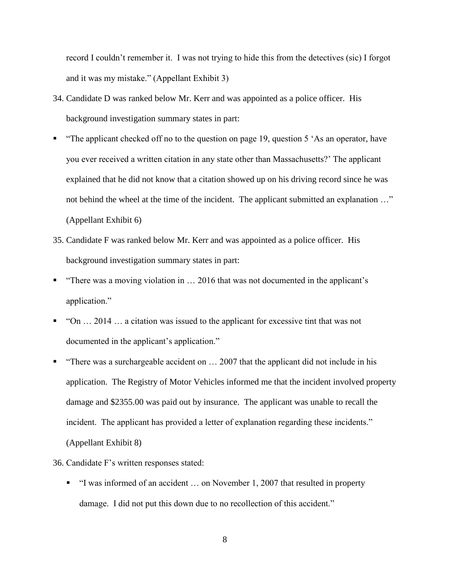record I couldn't remember it. I was not trying to hide this from the detectives (sic) I forgot and it was my mistake." (Appellant Exhibit 3)

- 34. Candidate D was ranked below Mr. Kerr and was appointed as a police officer. His background investigation summary states in part:
- "The applicant checked off no to the question on page 19, question 5 'As an operator, have you ever received a written citation in any state other than Massachusetts?' The applicant explained that he did not know that a citation showed up on his driving record since he was not behind the wheel at the time of the incident. The applicant submitted an explanation …" (Appellant Exhibit 6)
- 35. Candidate F was ranked below Mr. Kerr and was appointed as a police officer. His background investigation summary states in part:
- "There was a moving violation in … 2016 that was not documented in the applicant's application."
- $\blacksquare$  "On ... 2014 ... a citation was issued to the applicant for excessive tint that was not documented in the applicant's application."
- "There was a surchargeable accident on … 2007 that the applicant did not include in his application. The Registry of Motor Vehicles informed me that the incident involved property damage and \$2355.00 was paid out by insurance. The applicant was unable to recall the incident. The applicant has provided a letter of explanation regarding these incidents." (Appellant Exhibit 8)
- 36. Candidate F's written responses stated:
	- "I was informed of an accident ... on November 1, 2007 that resulted in property damage. I did not put this down due to no recollection of this accident."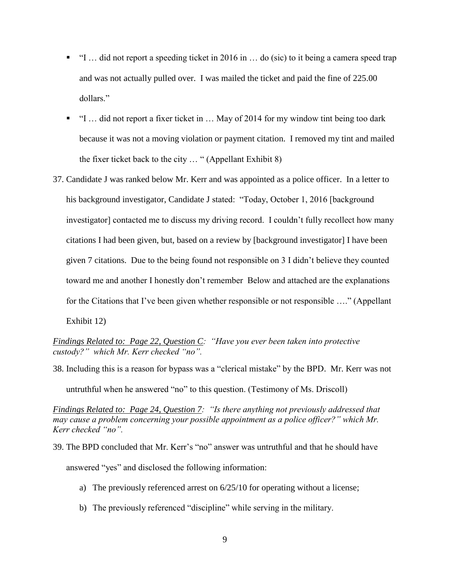- $\blacksquare$  "I ... did not report a speeding ticket in 2016 in ... do (sic) to it being a camera speed trap and was not actually pulled over. I was mailed the ticket and paid the fine of 225.00 dollars."
- "I … did not report a fixer ticket in … May of 2014 for my window tint being too dark because it was not a moving violation or payment citation. I removed my tint and mailed the fixer ticket back to the city … " (Appellant Exhibit 8)
- 37. Candidate J was ranked below Mr. Kerr and was appointed as a police officer. In a letter to his background investigator, Candidate J stated: "Today, October 1, 2016 [background investigator] contacted me to discuss my driving record. I couldn't fully recollect how many citations I had been given, but, based on a review by [background investigator] I have been given 7 citations. Due to the being found not responsible on 3 I didn't believe they counted toward me and another I honestly don't remember Below and attached are the explanations for the Citations that I've been given whether responsible or not responsible ...." (Appellant Exhibit 12)

38. Including this is a reason for bypass was a "clerical mistake" by the BPD. Mr. Kerr was not

untruthful when he answered "no" to this question. (Testimony of Ms. Driscoll)

*Findings Related to: Page 24, Question 7: "Is there anything not previously addressed that may cause a problem concerning your possible appointment as a police officer?" which Mr. Kerr checked "no".* 

- 39. The BPD concluded that Mr. Kerr's "no" answer was untruthful and that he should have answered "yes" and disclosed the following information:
	- a) The previously referenced arrest on 6/25/10 for operating without a license;
	- b) The previously referenced "discipline" while serving in the military.

*Findings Related to: Page 22, Question C: "Have you ever been taken into protective custody?" which Mr. Kerr checked "no".*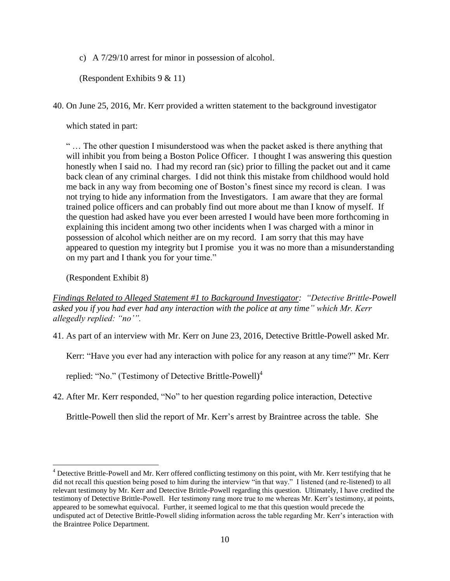c) A 7/29/10 arrest for minor in possession of alcohol.

(Respondent Exhibits 9 & 11)

40. On June 25, 2016, Mr. Kerr provided a written statement to the background investigator

which stated in part:

" … The other question I misunderstood was when the packet asked is there anything that will inhibit you from being a Boston Police Officer. I thought I was answering this question honestly when I said no. I had my record ran (sic) prior to filling the packet out and it came back clean of any criminal charges. I did not think this mistake from childhood would hold me back in any way from becoming one of Boston's finest since my record is clean. I was not trying to hide any information from the Investigators. I am aware that they are formal trained police officers and can probably find out more about me than I know of myself. If the question had asked have you ever been arrested I would have been more forthcoming in explaining this incident among two other incidents when I was charged with a minor in possession of alcohol which neither are on my record. I am sorry that this may have appeared to question my integrity but I promise you it was no more than a misunderstanding on my part and I thank you for your time."

(Respondent Exhibit 8)

 $\overline{a}$ 

*Findings Related to Alleged Statement #1 to Background Investigator: "Detective Brittle-Powell asked you if you had ever had any interaction with the police at any time" which Mr. Kerr allegedly replied: "no'".*

41. As part of an interview with Mr. Kerr on June 23, 2016, Detective Brittle-Powell asked Mr.

Kerr: "Have you ever had any interaction with police for any reason at any time?" Mr. Kerr

replied: "No." (Testimony of Detective Brittle-Powell)<sup>4</sup>

42. After Mr. Kerr responded, "No" to her question regarding police interaction, Detective

Brittle-Powell then slid the report of Mr. Kerr's arrest by Braintree across the table. She

<sup>&</sup>lt;sup>4</sup> Detective Brittle-Powell and Mr. Kerr offered conflicting testimony on this point, with Mr. Kerr testifying that he did not recall this question being posed to him during the interview "in that way." I listened (and re-listened) to all relevant testimony by Mr. Kerr and Detective Brittle-Powell regarding this question. Ultimately, I have credited the testimony of Detective Brittle-Powell. Her testimony rang more true to me whereas Mr. Kerr's testimony, at points, appeared to be somewhat equivocal. Further, it seemed logical to me that this question would precede the undisputed act of Detective Brittle-Powell sliding information across the table regarding Mr. Kerr's interaction with the Braintree Police Department.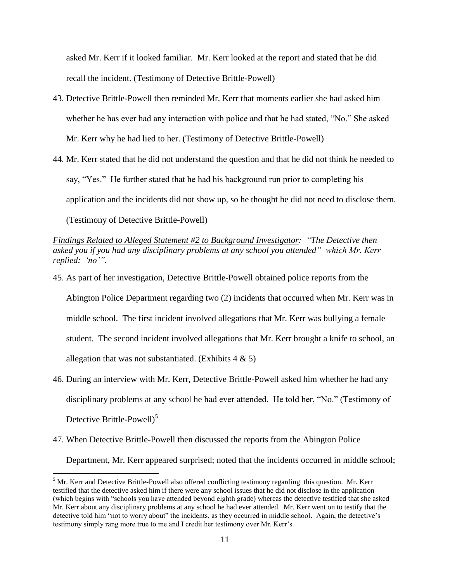asked Mr. Kerr if it looked familiar. Mr. Kerr looked at the report and stated that he did recall the incident. (Testimony of Detective Brittle-Powell)

- 43. Detective Brittle-Powell then reminded Mr. Kerr that moments earlier she had asked him whether he has ever had any interaction with police and that he had stated, "No." She asked Mr. Kerr why he had lied to her. (Testimony of Detective Brittle-Powell)
- 44. Mr. Kerr stated that he did not understand the question and that he did not think he needed to say, "Yes." He further stated that he had his background run prior to completing his application and the incidents did not show up, so he thought he did not need to disclose them. (Testimony of Detective Brittle-Powell)

*Findings Related to Alleged Statement #2 to Background Investigator: "The Detective then asked you if you had any disciplinary problems at any school you attended" which Mr. Kerr replied: 'no'".*

45. As part of her investigation, Detective Brittle-Powell obtained police reports from the

Abington Police Department regarding two (2) incidents that occurred when Mr. Kerr was in middle school. The first incident involved allegations that Mr. Kerr was bullying a female student. The second incident involved allegations that Mr. Kerr brought a knife to school, an allegation that was not substantiated. (Exhibits  $4 \& 5$ )

- 46. During an interview with Mr. Kerr, Detective Brittle-Powell asked him whether he had any disciplinary problems at any school he had ever attended. He told her, "No." (Testimony of Detective Brittle-Powell $)^5$
- 47. When Detective Brittle-Powell then discussed the reports from the Abington Police Department, Mr. Kerr appeared surprised; noted that the incidents occurred in middle school;

 $\overline{a}$ 

<sup>&</sup>lt;sup>5</sup> Mr. Kerr and Detective Brittle-Powell also offered conflicting testimony regarding this question. Mr. Kerr testified that the detective asked him if there were any school issues that he did not disclose in the application (which begins with "schools you have attended beyond eighth grade) whereas the detective testified that she asked Mr. Kerr about any disciplinary problems at any school he had ever attended. Mr. Kerr went on to testify that the detective told him "not to worry about" the incidents, as they occurred in middle school. Again, the detective's testimony simply rang more true to me and I credit her testimony over Mr. Kerr's.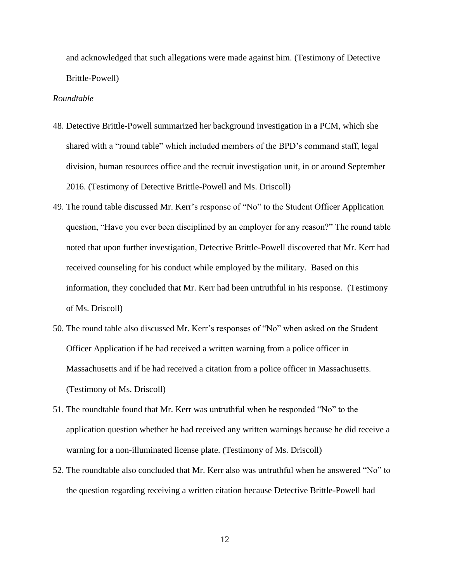and acknowledged that such allegations were made against him. (Testimony of Detective Brittle-Powell)

#### *Roundtable*

- 48. Detective Brittle-Powell summarized her background investigation in a PCM, which she shared with a "round table" which included members of the BPD's command staff, legal division, human resources office and the recruit investigation unit, in or around September 2016. (Testimony of Detective Brittle-Powell and Ms. Driscoll)
- 49. The round table discussed Mr. Kerr's response of "No" to the Student Officer Application question, "Have you ever been disciplined by an employer for any reason?" The round table noted that upon further investigation, Detective Brittle-Powell discovered that Mr. Kerr had received counseling for his conduct while employed by the military. Based on this information, they concluded that Mr. Kerr had been untruthful in his response. (Testimony of Ms. Driscoll)
- 50. The round table also discussed Mr. Kerr's responses of "No" when asked on the Student Officer Application if he had received a written warning from a police officer in Massachusetts and if he had received a citation from a police officer in Massachusetts. (Testimony of Ms. Driscoll)
- 51. The roundtable found that Mr. Kerr was untruthful when he responded "No" to the application question whether he had received any written warnings because he did receive a warning for a non-illuminated license plate. (Testimony of Ms. Driscoll)
- 52. The roundtable also concluded that Mr. Kerr also was untruthful when he answered "No" to the question regarding receiving a written citation because Detective Brittle-Powell had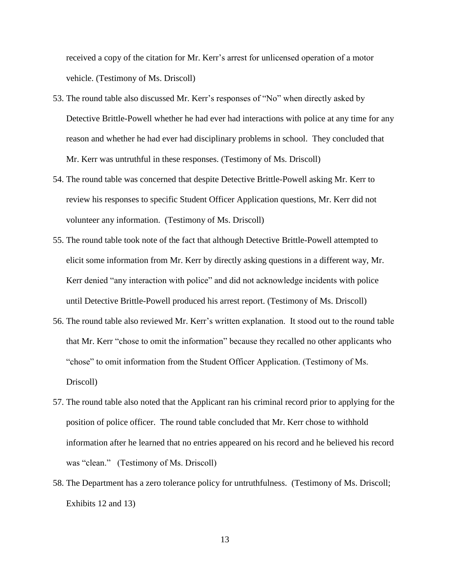received a copy of the citation for Mr. Kerr's arrest for unlicensed operation of a motor vehicle. (Testimony of Ms. Driscoll)

- 53. The round table also discussed Mr. Kerr's responses of "No" when directly asked by Detective Brittle-Powell whether he had ever had interactions with police at any time for any reason and whether he had ever had disciplinary problems in school. They concluded that Mr. Kerr was untruthful in these responses. (Testimony of Ms. Driscoll)
- 54. The round table was concerned that despite Detective Brittle-Powell asking Mr. Kerr to review his responses to specific Student Officer Application questions, Mr. Kerr did not volunteer any information. (Testimony of Ms. Driscoll)
- 55. The round table took note of the fact that although Detective Brittle-Powell attempted to elicit some information from Mr. Kerr by directly asking questions in a different way, Mr. Kerr denied "any interaction with police" and did not acknowledge incidents with police until Detective Brittle-Powell produced his arrest report. (Testimony of Ms. Driscoll)
- 56. The round table also reviewed Mr. Kerr's written explanation. It stood out to the round table that Mr. Kerr "chose to omit the information" because they recalled no other applicants who "chose" to omit information from the Student Officer Application. (Testimony of Ms. Driscoll)
- 57. The round table also noted that the Applicant ran his criminal record prior to applying for the position of police officer. The round table concluded that Mr. Kerr chose to withhold information after he learned that no entries appeared on his record and he believed his record was "clean." (Testimony of Ms. Driscoll)
- 58. The Department has a zero tolerance policy for untruthfulness. (Testimony of Ms. Driscoll; Exhibits 12 and 13)

13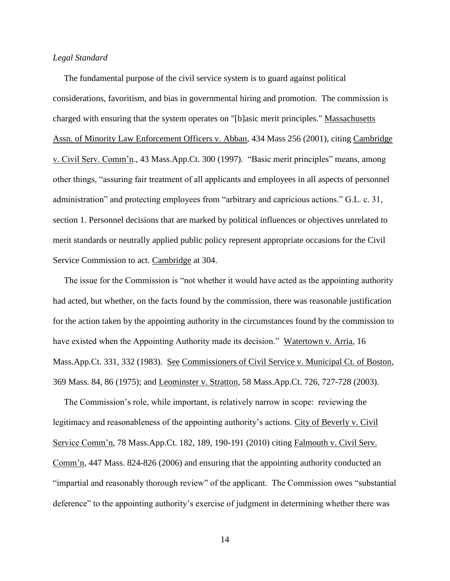### *Legal Standard*

 The fundamental purpose of the civil service system is to guard against political considerations, favoritism, and bias in governmental hiring and promotion. The commission is charged with ensuring that the system operates on "[b]asic merit principles." Massachusetts Assn. of Minority Law Enforcement Officers v. Abban, 434 Mass 256 (2001), citing Cambridge v. Civil Serv. Comm'n., 43 Mass.App.Ct. 300 (1997). "Basic merit principles" means, among other things, "assuring fair treatment of all applicants and employees in all aspects of personnel administration" and protecting employees from "arbitrary and capricious actions." G.L. c. 31, section 1. Personnel decisions that are marked by political influences or objectives unrelated to merit standards or neutrally applied public policy represent appropriate occasions for the Civil Service Commission to act. Cambridge at 304.

 The issue for the Commission is "not whether it would have acted as the appointing authority had acted, but whether, on the facts found by the commission, there was reasonable justification for the action taken by the appointing authority in the circumstances found by the commission to have existed when the Appointing Authority made its decision." Watertown v. Arria, 16 Mass.App.Ct. 331, 332 (1983). See Commissioners of Civil Service v. Municipal Ct. of Boston, 369 Mass. 84, 86 (1975); and Leominster v. Stratton, 58 Mass.App.Ct. 726, 727-728 (2003).

 The Commission's role, while important, is relatively narrow in scope: reviewing the legitimacy and reasonableness of the appointing authority's actions. City of Beverly v. Civil Service Comm'n, 78 Mass.App.Ct. 182, 189, 190-191 (2010) citing Falmouth v. Civil Serv. Comm'n, 447 Mass. 824-826 (2006) and ensuring that the appointing authority conducted an "impartial and reasonably thorough review" of the applicant. The Commission owes "substantial deference" to the appointing authority's exercise of judgment in determining whether there was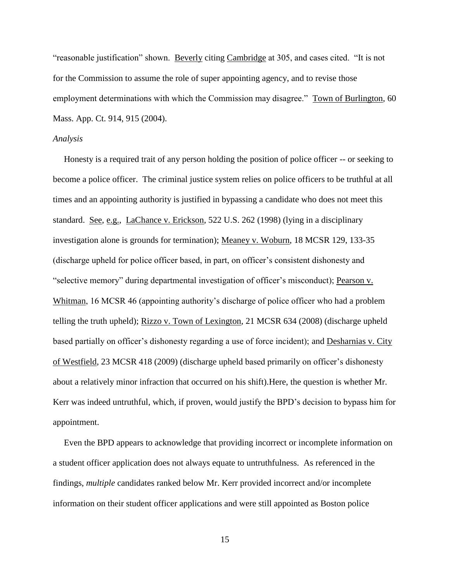"reasonable justification" shown. Beverly citing Cambridge at 305, and cases cited. "It is not for the Commission to assume the role of super appointing agency, and to revise those employment determinations with which the Commission may disagree." Town of Burlington, 60 Mass. App. Ct. 914, 915 (2004).

#### *Analysis*

 Honesty is a required trait of any person holding the position of police officer -- or seeking to become a police officer. The criminal justice system relies on police officers to be truthful at all times and an appointing authority is justified in bypassing a candidate who does not meet this standard. See, e.g., LaChance v. Erickson, 522 U.S. 262 (1998) (lying in a disciplinary investigation alone is grounds for termination); Meaney v. Woburn, 18 MCSR 129, 133-35 (discharge upheld for police officer based, in part, on officer's consistent dishonesty and "selective memory" during departmental investigation of officer's misconduct); Pearson v. Whitman, 16 MCSR 46 (appointing authority's discharge of police officer who had a problem telling the truth upheld); Rizzo v. Town of Lexington, 21 MCSR 634 (2008) (discharge upheld based partially on officer's dishonesty regarding a use of force incident); and Desharnias v. City of Westfield, 23 MCSR 418 (2009) (discharge upheld based primarily on officer's dishonesty about a relatively minor infraction that occurred on his shift).Here, the question is whether Mr. Kerr was indeed untruthful, which, if proven, would justify the BPD's decision to bypass him for appointment.

 Even the BPD appears to acknowledge that providing incorrect or incomplete information on a student officer application does not always equate to untruthfulness. As referenced in the findings, *multiple* candidates ranked below Mr. Kerr provided incorrect and/or incomplete information on their student officer applications and were still appointed as Boston police

15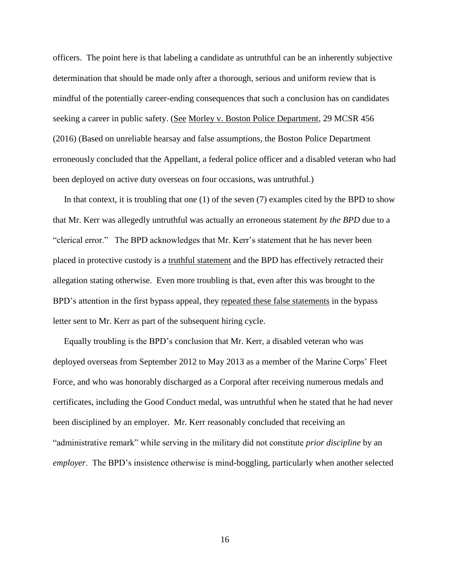officers. The point here is that labeling a candidate as untruthful can be an inherently subjective determination that should be made only after a thorough, serious and uniform review that is mindful of the potentially career-ending consequences that such a conclusion has on candidates seeking a career in public safety. (See Morley v. Boston Police Department, 29 MCSR 456 (2016) (Based on unreliable hearsay and false assumptions, the Boston Police Department erroneously concluded that the Appellant, a federal police officer and a disabled veteran who had been deployed on active duty overseas on four occasions, was untruthful.)

 In that context, it is troubling that one (1) of the seven (7) examples cited by the BPD to show that Mr. Kerr was allegedly untruthful was actually an erroneous statement *by the BPD* due to a "clerical error." The BPD acknowledges that Mr. Kerr's statement that he has never been placed in protective custody is a truthful statement and the BPD has effectively retracted their allegation stating otherwise. Even more troubling is that, even after this was brought to the BPD's attention in the first bypass appeal, they repeated these false statements in the bypass letter sent to Mr. Kerr as part of the subsequent hiring cycle.

 Equally troubling is the BPD's conclusion that Mr. Kerr, a disabled veteran who was deployed overseas from September 2012 to May 2013 as a member of the Marine Corps' Fleet Force, and who was honorably discharged as a Corporal after receiving numerous medals and certificates, including the Good Conduct medal, was untruthful when he stated that he had never been disciplined by an employer. Mr. Kerr reasonably concluded that receiving an "administrative remark" while serving in the military did not constitute *prior discipline* by an *employer*. The BPD's insistence otherwise is mind-boggling, particularly when another selected

16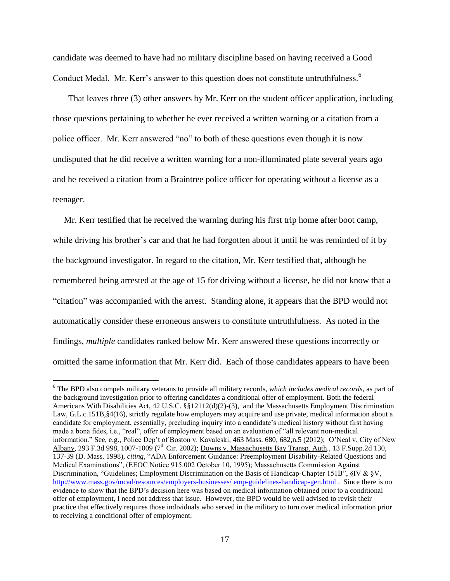candidate was deemed to have had no military discipline based on having received a Good Conduct Medal. Mr. Kerr's answer to this question does not constitute untruthfulness.<sup>6</sup>

 That leaves three (3) other answers by Mr. Kerr on the student officer application, including those questions pertaining to whether he ever received a written warning or a citation from a police officer. Mr. Kerr answered "no" to both of these questions even though it is now undisputed that he did receive a written warning for a non-illuminated plate several years ago and he received a citation from a Braintree police officer for operating without a license as a teenager.

 Mr. Kerr testified that he received the warning during his first trip home after boot camp, while driving his brother's car and that he had forgotten about it until he was reminded of it by the background investigator. In regard to the citation, Mr. Kerr testified that, although he remembered being arrested at the age of 15 for driving without a license, he did not know that a "citation" was accompanied with the arrest. Standing alone, it appears that the BPD would not automatically consider these erroneous answers to constitute untruthfulness. As noted in the findings, *multiple* candidates ranked below Mr. Kerr answered these questions incorrectly or omitted the same information that Mr. Kerr did. Each of those candidates appears to have been

 $\overline{a}$ 

<sup>6</sup> The BPD also compels military veterans to provide all military records, *which includes medical records*, as part of the background investigation prior to offering candidates a conditional offer of employment. Both the federal Americans With Disabilities Act, 42 U.S.C. §§12112(d)(2)-(3), and the Massachusetts Employment Discrimination Law, G.L.c.151B, §4(16), strictly regulate how employers may acquire and use private, medical information about a candidate for employment, essentially, precluding inquiry into a candidate's medical history without first having made a bona fides, i.e., "real", offer of employment based on an evaluation of "all relevant non-medical information." See, e.g., Police Dep't of Boston v. Kavaleski, 463 Mass. 680, 682,n.5 (2012); O'Neal v. City of New Albany, 293 F.3d 998, 1007-1009 (7<sup>th</sup> Cir. 2002); <u>Downs v. Massachusetts Bay Transp. Auth.,</u> 13 F.Supp.2d 130, 137-39 (D. Mass. 1998), *citing*, "ADA Enforcement Guidance: Preemployment Disability-Related Questions and Medical Examinations", (EEOC Notice 915.002 October 10, 1995); Massachusetts Commission Against Discrimination, "Guidelines; Employment Discrimination on the Basis of Handicap-Chapter 151B", §IV & §V, [http://www.mass.gov/mcad/resources/employers-businesses/ emp-guidelines-handicap-gen.html](http://www.mass.gov/mcad/resources/employers-businesses/%20emp-guidelines-handicap-gen.html) . Since there is no evidence to show that the BPD's decision here was based on medical information obtained prior to a conditional offer of employment, I need not address that issue. However, the BPD would be well advised to revisit their practice that effectively requires those individuals who served in the military to turn over medical information prior to receiving a conditional offer of employment.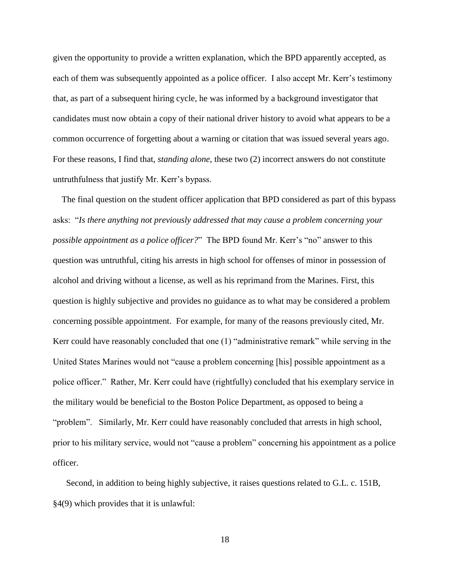given the opportunity to provide a written explanation, which the BPD apparently accepted, as each of them was subsequently appointed as a police officer. I also accept Mr. Kerr's testimony that, as part of a subsequent hiring cycle, he was informed by a background investigator that candidates must now obtain a copy of their national driver history to avoid what appears to be a common occurrence of forgetting about a warning or citation that was issued several years ago. For these reasons, I find that, *standing alone*, these two (2) incorrect answers do not constitute untruthfulness that justify Mr. Kerr's bypass.

 The final question on the student officer application that BPD considered as part of this bypass asks: "*Is there anything not previously addressed that may cause a problem concerning your possible appointment as a police officer?*" The BPD found Mr. Kerr's "no" answer to this question was untruthful, citing his arrests in high school for offenses of minor in possession of alcohol and driving without a license, as well as his reprimand from the Marines. First, this question is highly subjective and provides no guidance as to what may be considered a problem concerning possible appointment. For example, for many of the reasons previously cited, Mr. Kerr could have reasonably concluded that one (1) "administrative remark" while serving in the United States Marines would not "cause a problem concerning [his] possible appointment as a police officer." Rather, Mr. Kerr could have (rightfully) concluded that his exemplary service in the military would be beneficial to the Boston Police Department, as opposed to being a "problem". Similarly, Mr. Kerr could have reasonably concluded that arrests in high school, prior to his military service, would not "cause a problem" concerning his appointment as a police officer.

 Second, in addition to being highly subjective, it raises questions related to G.L. c. 151B, §4(9) which provides that it is unlawful:

18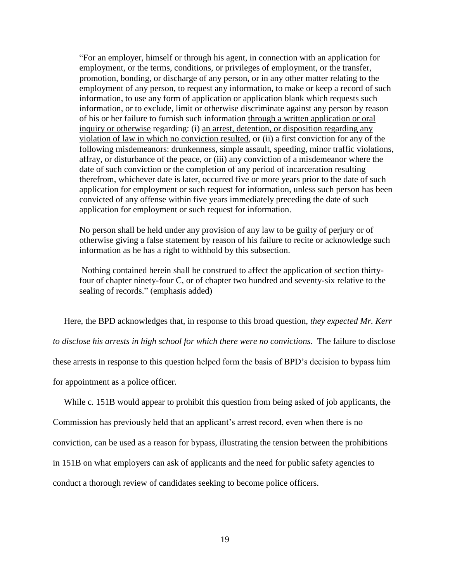"For an employer, himself or through his agent, in connection with an application for employment, or the terms, conditions, or privileges of employment, or the transfer, promotion, bonding, or discharge of any person, or in any other matter relating to the employment of any person, to request any information, to make or keep a record of such information, to use any form of application or application blank which requests such information, or to exclude, limit or otherwise discriminate against any person by reason of his or her failure to furnish such information through a written application or oral inquiry or otherwise regarding: (i) an arrest, detention, or disposition regarding any violation of law in which no conviction resulted, or (ii) a first conviction for any of the following misdemeanors: drunkenness, simple assault, speeding, minor traffic violations, affray, or disturbance of the peace, or (iii) any conviction of a misdemeanor where the date of such conviction or the completion of any period of incarceration resulting therefrom, whichever date is later, occurred five or more years prior to the date of such application for employment or such request for information, unless such person has been convicted of any offense within five years immediately preceding the date of such application for employment or such request for information.

No person shall be held under any provision of any law to be guilty of perjury or of otherwise giving a false statement by reason of his failure to recite or acknowledge such information as he has a right to withhold by this subsection.

Nothing contained herein shall be construed to affect the application of section thirtyfour of chapter ninety-four C, or of chapter two hundred and seventy-six relative to the sealing of records." (emphasis added)

Here, the BPD acknowledges that, in response to this broad question, *they expected Mr. Kerr* 

*to disclose his arrests in high school for which there were no convictions*. The failure to disclose

these arrests in response to this question helped form the basis of BPD's decision to bypass him

for appointment as a police officer.

While c. 151B would appear to prohibit this question from being asked of job applicants, the

Commission has previously held that an applicant's arrest record, even when there is no

conviction, can be used as a reason for bypass, illustrating the tension between the prohibitions

in 151B on what employers can ask of applicants and the need for public safety agencies to

conduct a thorough review of candidates seeking to become police officers.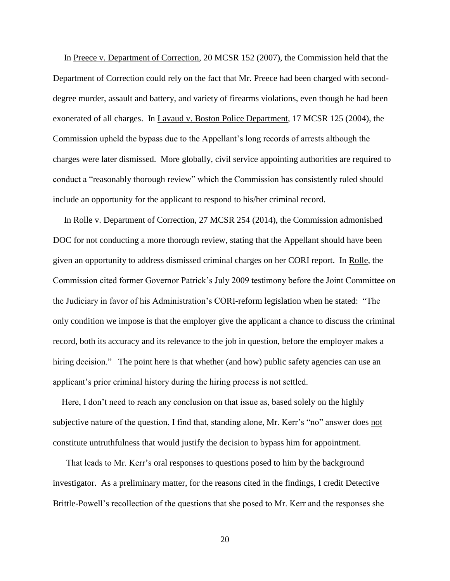In Preece v. Department of Correction, 20 MCSR 152 (2007), the Commission held that the Department of Correction could rely on the fact that Mr. Preece had been charged with seconddegree murder, assault and battery, and variety of firearms violations, even though he had been exonerated of all charges. In Lavaud v. Boston Police Department, 17 MCSR 125 (2004), the Commission upheld the bypass due to the Appellant's long records of arrests although the charges were later dismissed. More globally, civil service appointing authorities are required to conduct a "reasonably thorough review" which the Commission has consistently ruled should include an opportunity for the applicant to respond to his/her criminal record.

 In Rolle v. Department of Correction, 27 MCSR 254 (2014), the Commission admonished DOC for not conducting a more thorough review, stating that the Appellant should have been given an opportunity to address dismissed criminal charges on her CORI report. In Rolle, the Commission cited former Governor Patrick's July 2009 testimony before the Joint Committee on the Judiciary in favor of his Administration's CORI-reform legislation when he stated: "The only condition we impose is that the employer give the applicant a chance to discuss the criminal record, both its accuracy and its relevance to the job in question, before the employer makes a hiring decision." The point here is that whether (and how) public safety agencies can use an applicant's prior criminal history during the hiring process is not settled.

 Here, I don't need to reach any conclusion on that issue as, based solely on the highly subjective nature of the question, I find that, standing alone, Mr. Kerr's "no" answer does not constitute untruthfulness that would justify the decision to bypass him for appointment.

 That leads to Mr. Kerr's oral responses to questions posed to him by the background investigator. As a preliminary matter, for the reasons cited in the findings, I credit Detective Brittle-Powell's recollection of the questions that she posed to Mr. Kerr and the responses she

20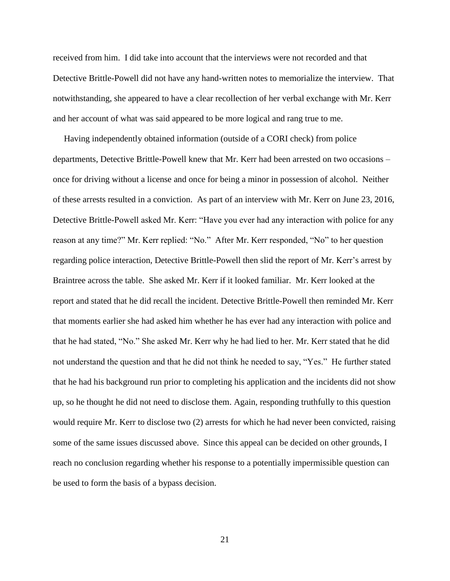received from him. I did take into account that the interviews were not recorded and that Detective Brittle-Powell did not have any hand-written notes to memorialize the interview. That notwithstanding, she appeared to have a clear recollection of her verbal exchange with Mr. Kerr and her account of what was said appeared to be more logical and rang true to me.

 Having independently obtained information (outside of a CORI check) from police departments, Detective Brittle-Powell knew that Mr. Kerr had been arrested on two occasions – once for driving without a license and once for being a minor in possession of alcohol. Neither of these arrests resulted in a conviction. As part of an interview with Mr. Kerr on June 23, 2016, Detective Brittle-Powell asked Mr. Kerr: "Have you ever had any interaction with police for any reason at any time?" Mr. Kerr replied: "No." After Mr. Kerr responded, "No" to her question regarding police interaction, Detective Brittle-Powell then slid the report of Mr. Kerr's arrest by Braintree across the table. She asked Mr. Kerr if it looked familiar. Mr. Kerr looked at the report and stated that he did recall the incident. Detective Brittle-Powell then reminded Mr. Kerr that moments earlier she had asked him whether he has ever had any interaction with police and that he had stated, "No." She asked Mr. Kerr why he had lied to her. Mr. Kerr stated that he did not understand the question and that he did not think he needed to say, "Yes." He further stated that he had his background run prior to completing his application and the incidents did not show up, so he thought he did not need to disclose them. Again, responding truthfully to this question would require Mr. Kerr to disclose two (2) arrests for which he had never been convicted, raising some of the same issues discussed above. Since this appeal can be decided on other grounds, I reach no conclusion regarding whether his response to a potentially impermissible question can be used to form the basis of a bypass decision.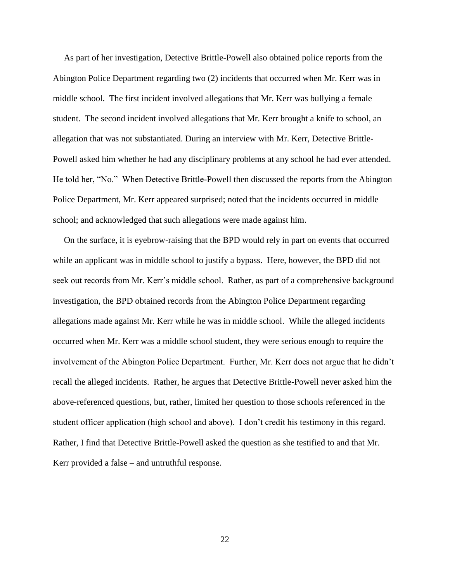As part of her investigation, Detective Brittle-Powell also obtained police reports from the Abington Police Department regarding two (2) incidents that occurred when Mr. Kerr was in middle school. The first incident involved allegations that Mr. Kerr was bullying a female student. The second incident involved allegations that Mr. Kerr brought a knife to school, an allegation that was not substantiated. During an interview with Mr. Kerr, Detective Brittle-Powell asked him whether he had any disciplinary problems at any school he had ever attended. He told her, "No." When Detective Brittle-Powell then discussed the reports from the Abington Police Department, Mr. Kerr appeared surprised; noted that the incidents occurred in middle school; and acknowledged that such allegations were made against him.

 On the surface, it is eyebrow-raising that the BPD would rely in part on events that occurred while an applicant was in middle school to justify a bypass. Here, however, the BPD did not seek out records from Mr. Kerr's middle school. Rather, as part of a comprehensive background investigation, the BPD obtained records from the Abington Police Department regarding allegations made against Mr. Kerr while he was in middle school. While the alleged incidents occurred when Mr. Kerr was a middle school student, they were serious enough to require the involvement of the Abington Police Department. Further, Mr. Kerr does not argue that he didn't recall the alleged incidents. Rather, he argues that Detective Brittle-Powell never asked him the above-referenced questions, but, rather, limited her question to those schools referenced in the student officer application (high school and above). I don't credit his testimony in this regard. Rather, I find that Detective Brittle-Powell asked the question as she testified to and that Mr. Kerr provided a false – and untruthful response.

22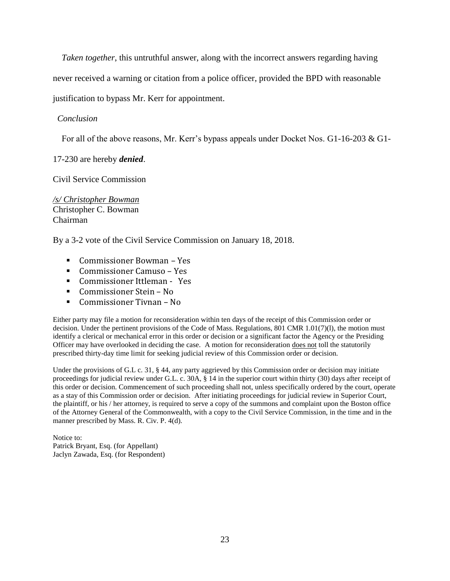*Taken together*, this untruthful answer, along with the incorrect answers regarding having

never received a warning or citation from a police officer, provided the BPD with reasonable

justification to bypass Mr. Kerr for appointment.

### *Conclusion*

For all of the above reasons, Mr. Kerr's bypass appeals under Docket Nos. G1-16-203 & G1-

17-230 are hereby *denied*.

Civil Service Commission

*/s/ Christopher Bowman* Christopher C. Bowman Chairman

By a 3-2 vote of the Civil Service Commission on January 18, 2018.

- Commissioner Bowman Yes
- Commissioner Camuso Yes
- Commissioner Ittleman Yes
- Commissioner Stein No
- Commissioner Tivnan No

Either party may file a motion for reconsideration within ten days of the receipt of this Commission order or decision. Under the pertinent provisions of the Code of Mass. Regulations, 801 CMR 1.01(7)(l), the motion must identify a clerical or mechanical error in this order or decision or a significant factor the Agency or the Presiding Officer may have overlooked in deciding the case. A motion for reconsideration does not toll the statutorily prescribed thirty-day time limit for seeking judicial review of this Commission order or decision.

Under the provisions of G.L c. 31, § 44, any party aggrieved by this Commission order or decision may initiate proceedings for judicial review under G.L. c. 30A, § 14 in the superior court within thirty (30) days after receipt of this order or decision. Commencement of such proceeding shall not, unless specifically ordered by the court, operate as a stay of this Commission order or decision. After initiating proceedings for judicial review in Superior Court, the plaintiff, or his / her attorney, is required to serve a copy of the summons and complaint upon the Boston office of the Attorney General of the Commonwealth, with a copy to the Civil Service Commission, in the time and in the manner prescribed by Mass. R. Civ. P. 4(d).

Notice to: Patrick Bryant, Esq. (for Appellant) Jaclyn Zawada, Esq. (for Respondent)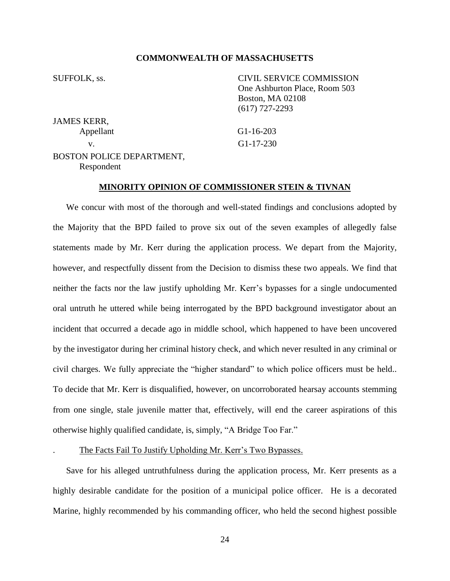#### **COMMONWEALTH OF MASSACHUSETTS**

SUFFOLK, ss. CIVIL SERVICE COMMISSION One Ashburton Place, Room 503 Boston, MA 02108 (617) 727-2293

JAMES KERR,

Appellant G1-16-203 v. G1-17-230

#### BOSTON POLICE DEPARTMENT, Respondent

### **MINORITY OPINION OF COMMISSIONER STEIN & TIVNAN**

We concur with most of the thorough and well-stated findings and conclusions adopted by the Majority that the BPD failed to prove six out of the seven examples of allegedly false statements made by Mr. Kerr during the application process. We depart from the Majority, however, and respectfully dissent from the Decision to dismiss these two appeals. We find that neither the facts nor the law justify upholding Mr. Kerr's bypasses for a single undocumented oral untruth he uttered while being interrogated by the BPD background investigator about an incident that occurred a decade ago in middle school, which happened to have been uncovered by the investigator during her criminal history check, and which never resulted in any criminal or civil charges. We fully appreciate the "higher standard" to which police officers must be held.. To decide that Mr. Kerr is disqualified, however, on uncorroborated hearsay accounts stemming from one single, stale juvenile matter that, effectively, will end the career aspirations of this otherwise highly qualified candidate, is, simply, "A Bridge Too Far."

. The Facts Fail To Justify Upholding Mr. Kerr's Two Bypasses.

Save for his alleged untruthfulness during the application process, Mr. Kerr presents as a highly desirable candidate for the position of a municipal police officer. He is a decorated Marine, highly recommended by his commanding officer, who held the second highest possible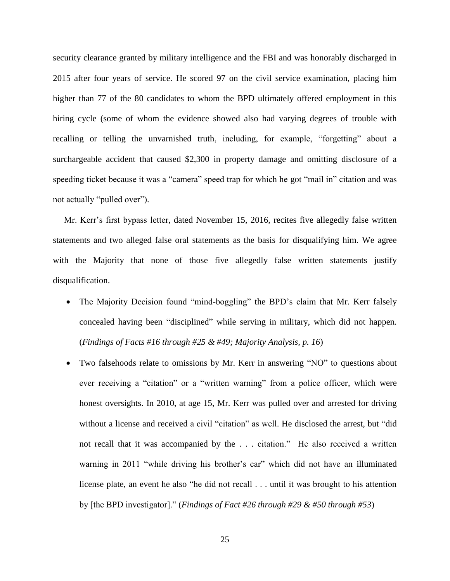security clearance granted by military intelligence and the FBI and was honorably discharged in 2015 after four years of service. He scored 97 on the civil service examination, placing him higher than 77 of the 80 candidates to whom the BPD ultimately offered employment in this hiring cycle (some of whom the evidence showed also had varying degrees of trouble with recalling or telling the unvarnished truth, including, for example, "forgetting" about a surchargeable accident that caused \$2,300 in property damage and omitting disclosure of a speeding ticket because it was a "camera" speed trap for which he got "mail in" citation and was not actually "pulled over").

Mr. Kerr's first bypass letter, dated November 15, 2016, recites five allegedly false written statements and two alleged false oral statements as the basis for disqualifying him. We agree with the Majority that none of those five allegedly false written statements justify disqualification.

- The Majority Decision found "mind-boggling" the BPD's claim that Mr. Kerr falsely concealed having been "disciplined" while serving in military, which did not happen. (*Findings of Facts #16 through #25 & #49; Majority Analysis, p. 16*)
- Two falsehoods relate to omissions by Mr. Kerr in answering "NO" to questions about ever receiving a "citation" or a "written warning" from a police officer, which were honest oversights. In 2010, at age 15, Mr. Kerr was pulled over and arrested for driving without a license and received a civil "citation" as well. He disclosed the arrest, but "did not recall that it was accompanied by the . . . citation." He also received a written warning in 2011 "while driving his brother's car" which did not have an illuminated license plate, an event he also "he did not recall . . . until it was brought to his attention by [the BPD investigator]." (*Findings of Fact #26 through #29 & #50 through #53*)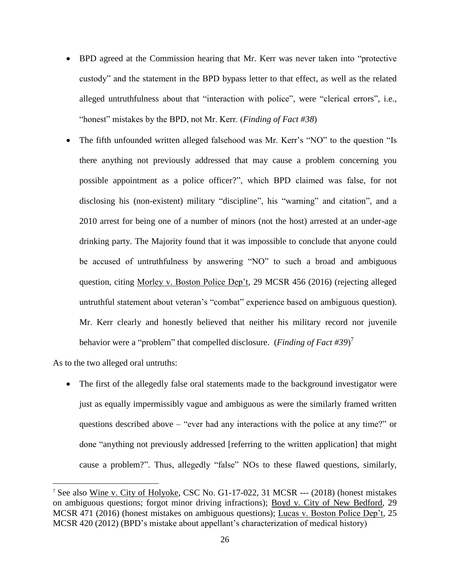- BPD agreed at the Commission hearing that Mr. Kerr was never taken into "protective custody" and the statement in the BPD bypass letter to that effect, as well as the related alleged untruthfulness about that "interaction with police", were "clerical errors", i.e., "honest" mistakes by the BPD, not Mr. Kerr. (*Finding of Fact #38*)
- The fifth unfounded written alleged falsehood was Mr. Kerr's "NO" to the question "Is there anything not previously addressed that may cause a problem concerning you possible appointment as a police officer?", which BPD claimed was false, for not disclosing his (non-existent) military "discipline", his "warning" and citation", and a 2010 arrest for being one of a number of minors (not the host) arrested at an under-age drinking party. The Majority found that it was impossible to conclude that anyone could be accused of untruthfulness by answering "NO" to such a broad and ambiguous question, citing Morley v. Boston Police Dep't, 29 MCSR 456 (2016) (rejecting alleged untruthful statement about veteran's "combat" experience based on ambiguous question). Mr. Kerr clearly and honestly believed that neither his military record nor juvenile behavior were a "problem" that compelled disclosure. (*Finding of Fact #39*) 7

As to the two alleged oral untruths:

 $\overline{a}$ 

• The first of the allegedly false oral statements made to the background investigator were just as equally impermissibly vague and ambiguous as were the similarly framed written questions described above – "ever had any interactions with the police at any time?" or done "anything not previously addressed [referring to the written application] that might cause a problem?". Thus, allegedly "false" NOs to these flawed questions, similarly,

<sup>7</sup> See also Wine v. City of Holyoke, CSC No. G1-17-022, 31 MCSR --- (2018) (honest mistakes on ambiguous questions; forgot minor driving infractions); Boyd v. City of New Bedford, 29 MCSR 471 (2016) (honest mistakes on ambiguous questions); Lucas v. Boston Police Dep't, 25 MCSR 420 (2012) (BPD's mistake about appellant's characterization of medical history)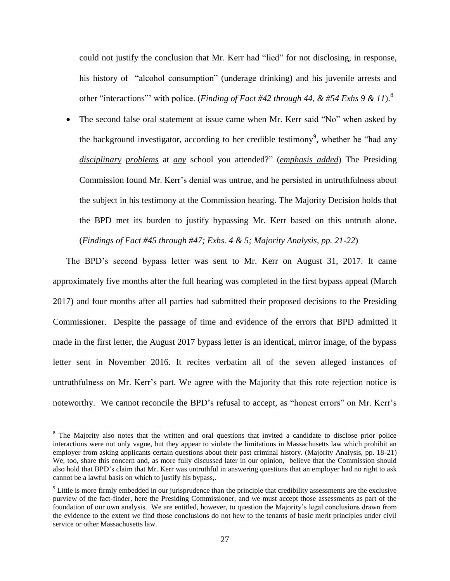could not justify the conclusion that Mr. Kerr had "lied" for not disclosing, in response, his history of "alcohol consumption" (underage drinking) and his juvenile arrests and other "interactions"' with police. (*Finding of Fact #42 through 44, & #54 Exhs 9 & 11*). 8

• The second false oral statement at issue came when Mr. Kerr said "No" when asked by the background investigator, according to her credible testimony<sup>9</sup>, whether he "had any *disciplinary problems* at *any* school you attended?" (*emphasis added*) The Presiding Commission found Mr. Kerr's denial was untrue, and he persisted in untruthfulness about the subject in his testimony at the Commission hearing. The Majority Decision holds that the BPD met its burden to justify bypassing Mr. Kerr based on this untruth alone. (*Findings of Fact #45 through #47; Exhs. 4 & 5; Majority Analysis, pp. 21-22*)

The BPD's second bypass letter was sent to Mr. Kerr on August 31, 2017. It came approximately five months after the full hearing was completed in the first bypass appeal (March 2017) and four months after all parties had submitted their proposed decisions to the Presiding Commissioner. Despite the passage of time and evidence of the errors that BPD admitted it made in the first letter, the August 2017 bypass letter is an identical, mirror image, of the bypass letter sent in November 2016. It recites verbatim all of the seven alleged instances of untruthfulness on Mr. Kerr's part. We agree with the Majority that this rote rejection notice is noteworthy. We cannot reconcile the BPD's refusal to accept, as "honest errors" on Mr. Kerr's

 $\overline{a}$ 

<sup>&</sup>lt;sup>8</sup> The Majority also notes that the written and oral questions that invited a candidate to disclose prior police interactions were not only vague, but they appear to violate the limitations in Massachusetts law which prohibit an employer from asking applicants certain questions about their past criminal history. (Majority Analysis, pp. 18-21) We, too, share this concern and, as more fully discussed later in our opinion, believe that the Commission should also hold that BPD's claim that Mr. Kerr was untruthful in answering questions that an employer had no right to ask cannot be a lawful basis on which to justify his bypass,.

 $9$  Little is more firmly embedded in our jurisprudence than the principle that credibility assessments are the exclusive purview of the fact-finder, here the Presiding Commissioner, and we must accept those assessments as part of the foundation of our own analysis. We are entitled, however, to question the Majority's legal conclusions drawn from the evidence to the extent we find those conclusions do not hew to the tenants of basic merit principles under civil service or other Massachusetts law.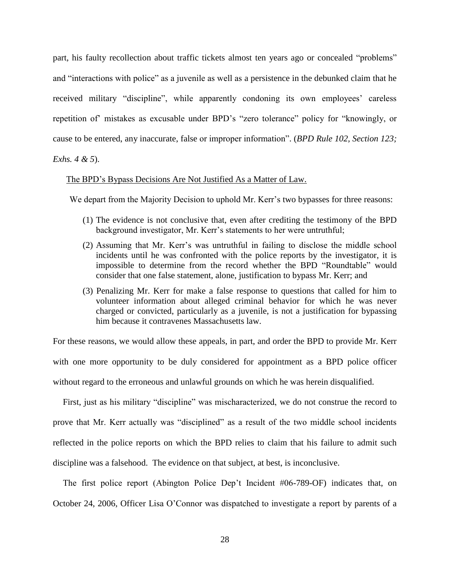part, his faulty recollection about traffic tickets almost ten years ago or concealed "problems" and "interactions with police" as a juvenile as well as a persistence in the debunked claim that he received military "discipline", while apparently condoning its own employees' careless repetition of' mistakes as excusable under BPD's "zero tolerance" policy for "knowingly, or cause to be entered, any inaccurate, false or improper information". (*BPD Rule 102, Section 123;* 

*Exhs. 4 & 5*).

#### The BPD's Bypass Decisions Are Not Justified As a Matter of Law.

We depart from the Majority Decision to uphold Mr. Kerr's two bypasses for three reasons:

- (1) The evidence is not conclusive that, even after crediting the testimony of the BPD background investigator, Mr. Kerr's statements to her were untruthful;
- (2) Assuming that Mr. Kerr's was untruthful in failing to disclose the middle school incidents until he was confronted with the police reports by the investigator, it is impossible to determine from the record whether the BPD "Roundtable" would consider that one false statement, alone, justification to bypass Mr. Kerr; and
- (3) Penalizing Mr. Kerr for make a false response to questions that called for him to volunteer information about alleged criminal behavior for which he was never charged or convicted, particularly as a juvenile, is not a justification for bypassing him because it contravenes Massachusetts law.

For these reasons, we would allow these appeals, in part, and order the BPD to provide Mr. Kerr with one more opportunity to be duly considered for appointment as a BPD police officer without regard to the erroneous and unlawful grounds on which he was herein disqualified.

First, just as his military "discipline" was mischaracterized, we do not construe the record to prove that Mr. Kerr actually was "disciplined" as a result of the two middle school incidents reflected in the police reports on which the BPD relies to claim that his failure to admit such discipline was a falsehood. The evidence on that subject, at best, is inconclusive.

The first police report (Abington Police Dep't Incident #06-789-OF) indicates that, on October 24, 2006, Officer Lisa O'Connor was dispatched to investigate a report by parents of a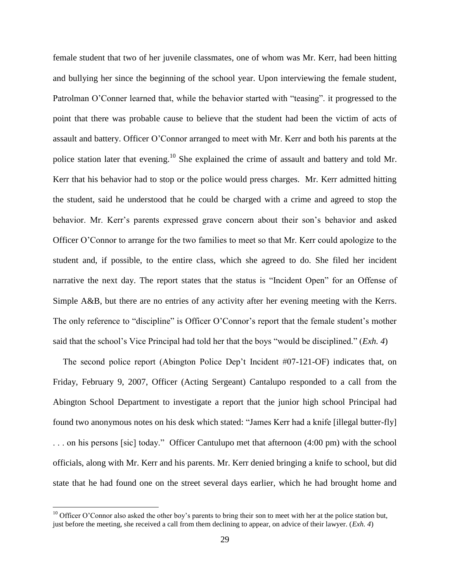female student that two of her juvenile classmates, one of whom was Mr. Kerr, had been hitting and bullying her since the beginning of the school year. Upon interviewing the female student, Patrolman O'Conner learned that, while the behavior started with "teasing". it progressed to the point that there was probable cause to believe that the student had been the victim of acts of assault and battery. Officer O'Connor arranged to meet with Mr. Kerr and both his parents at the police station later that evening.<sup>10</sup> She explained the crime of assault and battery and told Mr. Kerr that his behavior had to stop or the police would press charges. Mr. Kerr admitted hitting the student, said he understood that he could be charged with a crime and agreed to stop the behavior. Mr. Kerr's parents expressed grave concern about their son's behavior and asked Officer O'Connor to arrange for the two families to meet so that Mr. Kerr could apologize to the student and, if possible, to the entire class, which she agreed to do. She filed her incident narrative the next day. The report states that the status is "Incident Open" for an Offense of Simple A&B, but there are no entries of any activity after her evening meeting with the Kerrs. The only reference to "discipline" is Officer O'Connor's report that the female student's mother said that the school's Vice Principal had told her that the boys "would be disciplined." (*Exh. 4*)

The second police report (Abington Police Dep't Incident #07-121-OF) indicates that, on Friday, February 9, 2007, Officer (Acting Sergeant) Cantalupo responded to a call from the Abington School Department to investigate a report that the junior high school Principal had found two anonymous notes on his desk which stated: "James Kerr had a knife [illegal butter-fly] . . . on his persons [sic] today." Officer Cantulupo met that afternoon (4:00 pm) with the school officials, along with Mr. Kerr and his parents. Mr. Kerr denied bringing a knife to school, but did state that he had found one on the street several days earlier, which he had brought home and

 $\overline{a}$ 

<sup>&</sup>lt;sup>10</sup> Officer O'Connor also asked the other boy's parents to bring their son to meet with her at the police station but, just before the meeting, she received a call from them declining to appear, on advice of their lawyer. (*Exh. 4*)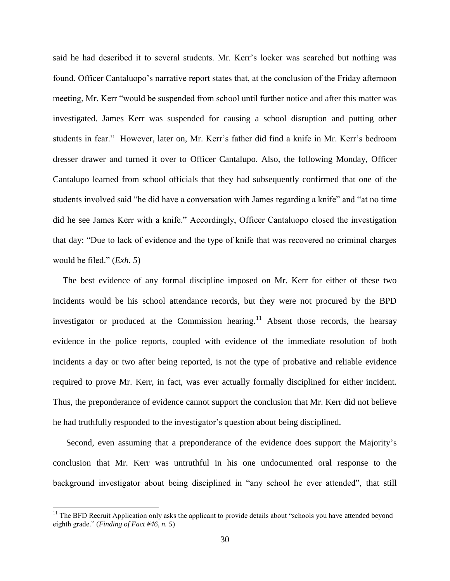said he had described it to several students. Mr. Kerr's locker was searched but nothing was found. Officer Cantaluopo's narrative report states that, at the conclusion of the Friday afternoon meeting, Mr. Kerr "would be suspended from school until further notice and after this matter was investigated. James Kerr was suspended for causing a school disruption and putting other students in fear." However, later on, Mr. Kerr's father did find a knife in Mr. Kerr's bedroom dresser drawer and turned it over to Officer Cantalupo. Also, the following Monday, Officer Cantalupo learned from school officials that they had subsequently confirmed that one of the students involved said "he did have a conversation with James regarding a knife" and "at no time did he see James Kerr with a knife." Accordingly, Officer Cantaluopo closed the investigation that day: "Due to lack of evidence and the type of knife that was recovered no criminal charges would be filed." (*Exh. 5*)

The best evidence of any formal discipline imposed on Mr. Kerr for either of these two incidents would be his school attendance records, but they were not procured by the BPD investigator or produced at the Commission hearing.<sup>11</sup> Absent those records, the hearsay evidence in the police reports, coupled with evidence of the immediate resolution of both incidents a day or two after being reported, is not the type of probative and reliable evidence required to prove Mr. Kerr, in fact, was ever actually formally disciplined for either incident. Thus, the preponderance of evidence cannot support the conclusion that Mr. Kerr did not believe he had truthfully responded to the investigator's question about being disciplined.

Second, even assuming that a preponderance of the evidence does support the Majority's conclusion that Mr. Kerr was untruthful in his one undocumented oral response to the background investigator about being disciplined in "any school he ever attended", that still

 $\overline{a}$ 

 $11$  The BFD Recruit Application only asks the applicant to provide details about "schools you have attended beyond eighth grade." (*Finding of Fact #46, n. 5*)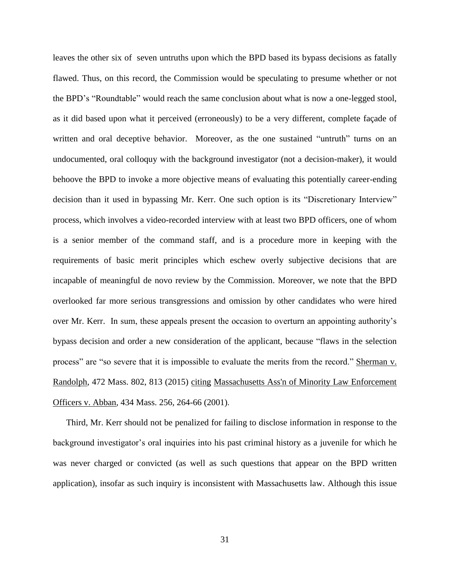leaves the other six of seven untruths upon which the BPD based its bypass decisions as fatally flawed. Thus, on this record, the Commission would be speculating to presume whether or not the BPD's "Roundtable" would reach the same conclusion about what is now a one-legged stool, as it did based upon what it perceived (erroneously) to be a very different, complete façade of written and oral deceptive behavior. Moreover, as the one sustained "untruth" turns on an undocumented, oral colloquy with the background investigator (not a decision-maker), it would behoove the BPD to invoke a more objective means of evaluating this potentially career-ending decision than it used in bypassing Mr. Kerr. One such option is its "Discretionary Interview" process, which involves a video-recorded interview with at least two BPD officers, one of whom is a senior member of the command staff, and is a procedure more in keeping with the requirements of basic merit principles which eschew overly subjective decisions that are incapable of meaningful de novo review by the Commission. Moreover, we note that the BPD overlooked far more serious transgressions and omission by other candidates who were hired over Mr. Kerr. In sum, these appeals present the occasion to overturn an appointing authority's bypass decision and order a new consideration of the applicant, because "flaws in the selection process" are "so severe that it is impossible to evaluate the merits from the record." Sherman v. Randolph, 472 Mass. 802, 813 (2015) citing [Massachusetts Ass'n of Minority Law Enforcement](https://1.next.westlaw.com/Link/Document/FullText?findType=Y&serNum=2001441097&pubNum=0000578&originatingDoc=I9e48b79962b011e5a807ad48145ed9f1&refType=RP&originationContext=document&transitionType=DocumentItem&contextData=(sc.Default))  Officers v. Abban*,* [434 Mass. 256, 264-66 \(2001\)](https://1.next.westlaw.com/Link/Document/FullText?findType=Y&serNum=2001441097&pubNum=0000578&originatingDoc=I9e48b79962b011e5a807ad48145ed9f1&refType=RP&originationContext=document&transitionType=DocumentItem&contextData=(sc.Default)).

Third, Mr. Kerr should not be penalized for failing to disclose information in response to the background investigator's oral inquiries into his past criminal history as a juvenile for which he was never charged or convicted (as well as such questions that appear on the BPD written application), insofar as such inquiry is inconsistent with Massachusetts law. Although this issue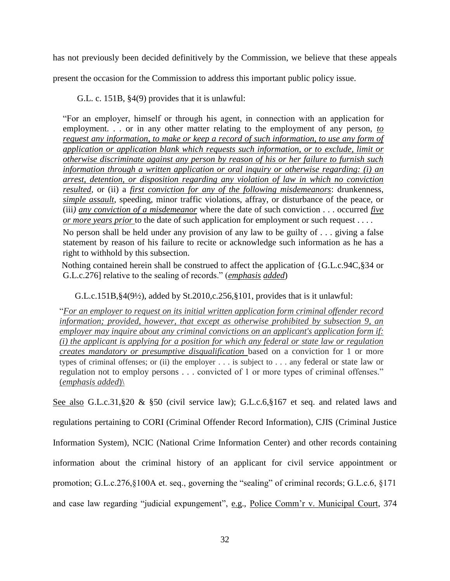has not previously been decided definitively by the Commission, we believe that these appeals

present the occasion for the Commission to address this important public policy issue.

G.L. c. 151B, §4(9) provides that it is unlawful:

"For an employer, himself or through his agent, in connection with an application for employment. . . or in any other matter relating to the employment of any person, *to request any information, to make or keep a record of such information, to use any form of application or application blank which requests such information, or to exclude, limit or otherwise discriminate against any person by reason of his or her failure to furnish such information through a written application or oral inquiry or otherwise regarding: (i) an arrest, detention, or disposition regarding any violation of law in which no conviction resulted,* or (ii) a *first conviction for any of the following misdemeanors*: drunkenness, *simple assault*, speeding, minor traffic violations, affray, or disturbance of the peace, or (iii*) any conviction of a misdemeanor* where the date of such conviction . . . occurred *five or more years prior* to the date of such application for employment or such request . . . .

No person shall be held under any provision of any law to be guilty of . . . giving a false statement by reason of his failure to recite or acknowledge such information as he has a right to withhold by this subsection.

Nothing contained herein shall be construed to affect the application of {G.L.c.94C,§34 or G.L.c.276] relative to the sealing of records." (*emphasis added*)

G.L.c.151B, $\S4(9\frac{1}{2})$ , added by St.2010,c.256, $\S101$ , provides that is it unlawful:

"*For an employer to request on its initial written application form criminal offender record information; provided, however, that except as otherwise prohibited by subsection 9, an employer may inquire about any criminal convictions on an applicant's application form if: (i) the applicant is applying for a position for which any federal or state law or regulation creates mandatory or presumptive disqualification* based on a conviction for 1 or more types of criminal offenses; or (ii) the employer . . . is subject to . . . any federal or state law or regulation not to employ persons . . . convicted of 1 or more types of criminal offenses." (*emphasis added*)\

See also G.L.c.31,§20 & §50 (civil service law); G.L.c.6,§167 et seq. and related laws and

regulations pertaining to CORI (Criminal Offender Record Information), CJIS (Criminal Justice Information System), NCIC (National Crime Information Center) and other records containing information about the criminal history of an applicant for civil service appointment or promotion; G.L.c.276,§100A et. seq., governing the "sealing" of criminal records; G.L.c.6, §171 and case law regarding "judicial expungement", e.g., Police Comm'r v. Municipal Court, 374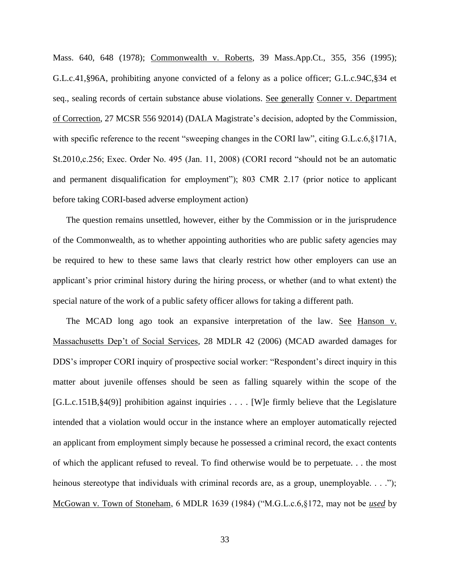Mass. 640, 648 (1978); Commonwealth v. Roberts, 39 Mass.App.Ct., 355, 356 (1995); G.L.c.41,§96A, prohibiting anyone convicted of a felony as a police officer; G.L.c.94C,§34 et seq., sealing records of certain substance abuse violations. See generally Conner v. Department of Correction, 27 MCSR 556 92014) (DALA Magistrate's decision, adopted by the Commission, with specific reference to the recent "sweeping changes in the CORI law", citing G.L.c.6, §171A, St.2010,c.256; Exec. Order No. 495 (Jan. 11, 2008) (CORI record "should not be an automatic and permanent disqualification for employment"); 803 CMR 2.17 (prior notice to applicant before taking CORI-based adverse employment action)

The question remains unsettled, however, either by the Commission or in the jurisprudence of the Commonwealth, as to whether appointing authorities who are public safety agencies may be required to hew to these same laws that clearly restrict how other employers can use an applicant's prior criminal history during the hiring process, or whether (and to what extent) the special nature of the work of a public safety officer allows for taking a different path.

The MCAD long ago took an expansive interpretation of the law. See Hanson v. Massachusetts Dep't of Social Services, 28 MDLR 42 (2006) (MCAD awarded damages for DDS's improper CORI inquiry of prospective social worker: "Respondent's direct inquiry in this matter about juvenile offenses should be seen as falling squarely within the scope of the [G.L.c.151B,§4(9)] prohibition against inquiries . . . . [W]e firmly believe that the Legislature intended that a violation would occur in the instance where an employer automatically rejected an applicant from employment simply because he possessed a criminal record, the exact contents of which the applicant refused to reveal. To find otherwise would be to perpetuate. . . the most heinous stereotype that individuals with criminal records are, as a group, unemployable. . . ."); McGowan v. Town of Stoneham, 6 MDLR 1639 (1984) ("M.G.L.c.6,§172, may not be *used* by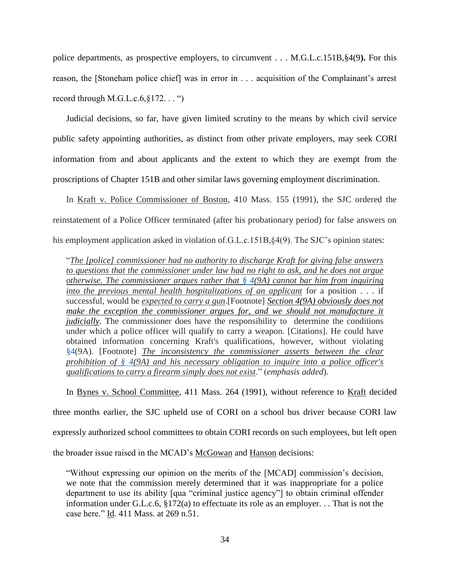police departments, as prospective employers, to circumvent . . . M.G.L.c.151B,§4(9**).** For this reason, the [Stoneham police chief] was in error in . . . acquisition of the Complainant's arrest record through M.G.L.c. $6, §172...$  ")

Judicial decisions, so far, have given limited scrutiny to the means by which civil service public safety appointing authorities, as distinct from other private employers, may seek CORI information from and about applicants and the extent to which they are exempt from the proscriptions of Chapter 151B and other similar laws governing employment discrimination.

In Kraft v. Police Commissioner of Boston, 410 Mass. 155 (1991), the SJC ordered the reinstatement of a Police Officer terminated (after his probationary period) for false answers on his employment application asked in violation of.G.L.c.151B, §4(9). The SJC's opinion states:

"*The [police] commissioner had no authority to discharge Kraft for giving false answers to questions that the commissioner under law had no right to ask, and he does not argue otherwise. The commissioner argues rather that [§ 4\(](https://1.next.westlaw.com/Link/Document/FullText?findType=L&pubNum=1000042&cite=MAST151BS4&originatingDoc=Ic36ca81cd43a11d9bf60c1d57ebc853e&refType=LQ&originationContext=document&transitionType=DocumentItem&contextData=(sc.UserEnteredCitation))9A) cannot bar him from inquiring into the previous mental health hospitalizations of an applicant* for a position . . . if successful, would be *expected to carry a gun*.[Footnote] *[Section 4\(](https://1.next.westlaw.com/Link/Document/FullText?findType=L&pubNum=1000042&cite=MAST151BS4&originatingDoc=Ic36ca81cd43a11d9bf60c1d57ebc853e&refType=LQ&originationContext=document&transitionType=DocumentItem&contextData=(sc.UserEnteredCitation))9A) obviously does not*  make the exception the commissioner argues for, and we should not manufacture it *judicially*. The commissioner does have the responsibility to determine the conditions under which a police officer will qualify to carry a weapon. [Citations]. He could have obtained information concerning Kraft's qualifications, however, without violating [§4\(](https://1.next.westlaw.com/Link/Document/FullText?findType=L&pubNum=1000042&cite=MAST151BS4&originatingDoc=Ic36ca81cd43a11d9bf60c1d57ebc853e&refType=LQ&originationContext=document&transitionType=DocumentItem&contextData=(sc.UserEnteredCitation))9A). [Footnote] *The inconsistency the commissioner asserts between the clear prohibition of [§ 4\(](https://1.next.westlaw.com/Link/Document/FullText?findType=L&pubNum=1000042&cite=MAST151BS4&originatingDoc=Ic36ca81cd43a11d9bf60c1d57ebc853e&refType=LQ&originationContext=document&transitionType=DocumentItem&contextData=(sc.UserEnteredCitation))9A) and his necessary obligation to inquire into a police officer's qualifications to carry a firearm simply does not exist*." (*emphasis added*).

In Bynes v. School Committee, 411 Mass. 264 (1991), without reference to Kraft decided three months earlier, the SJC upheld use of CORI on a school bus driver because CORI law expressly authorized school committees to obtain CORI records on such employees, but left open the broader issue raised in the MCAD's McGowan and Hanson decisions:

"Without expressing our opinion on the merits of the [MCAD] commission's decision, we note that the commission merely determined that it was inappropriate for a police department to use its ability [qua "criminal justice agency"] to obtain criminal offender information under G.L.c.6, §172(a) to effectuate its role as an employer. . . That is not the case here." Id. 411 Mass. at 269 n.51.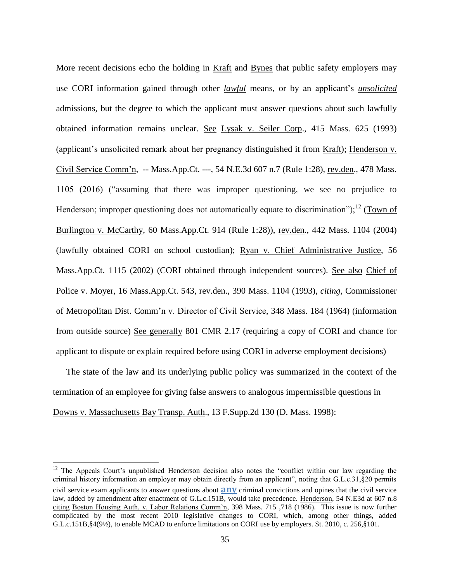More recent decisions echo the holding in Kraft and Bynes that public safety employers may use CORI information gained through other *lawful* means, or by an applicant's *unsolicited* admissions, but the degree to which the applicant must answer questions about such lawfully obtained information remains unclear. See Lysak v. Seiler Corp., 415 Mass. 625 (1993) (applicant's unsolicited remark about her pregnancy distinguished it from Kraft); Henderson v. Civil Service Comm'n, -- Mass.App.Ct. ---, 54 N.E.3d 607 n.7 (Rule 1:28), rev.den., 478 Mass. 1105 (2016) ("assuming that there was improper questioning, we see no prejudice to Henderson; improper questioning does not automatically equate to discrimination");<sup>12</sup> (Town of Burlington v. McCarthy, 60 Mass.App.Ct. 914 (Rule 1:28)), rev.den., 442 Mass. 1104 (2004) (lawfully obtained CORI on school custodian); Ryan v. Chief Administrative Justice, 56 Mass.App.Ct. 1115 (2002) (CORI obtained through independent sources). See also Chief of Police v. Moyer, 16 Mass.App.Ct. 543, rev.den., 390 Mass. 1104 (1993), *citing*, Commissioner of Metropolitan Dist. Comm'n v. Director of Civil Service, 348 Mass. 184 (1964) (information from outside source) See generally 801 CMR 2.17 (requiring a copy of CORI and chance for applicant to dispute or explain required before using CORI in adverse employment decisions)

The state of the law and its underlying public policy was summarized in the context of the termination of an employee for giving false answers to analogous impermissible questions in Downs v. Massachusetts Bay Transp. Auth., 13 F.Supp.2d 130 (D. Mass. 1998):

 $\overline{a}$ 

 $12$  The Appeals Court's unpublished Henderson decision also notes the "conflict within our law regarding the criminal history information an employer may obtain directly from an applicant", noting that G.L.c.31,§20 permits civil service exam applicants to answer questions about **any** criminal convictions and opines that the civil service law, added by amendment after enactment of G.L.c.151B, would take precedence. Henderson, 54 N.E3d at 607 n.8 citing Boston Housing Auth. v. Labor Relations Comm'n, 398 Mass. 715 ,718 (1986). This issue is now further complicated by the most recent 2010 legislative changes to CORI, which, among other things, added G.L.c.151B, §4(9½), to enable MCAD to enforce limitations on CORI use by employers. St. 2010, c. 256, §101.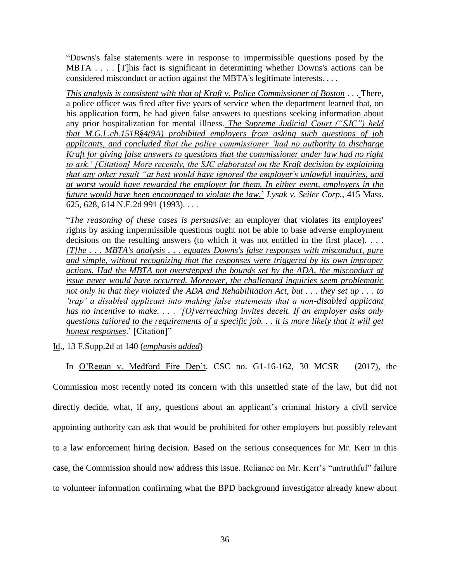"Downs's false statements were in response to impermissible questions posed by the MBTA . . . . [T]his fact is significant in determining whether Downs's actions can be considered misconduct or action against the MBTA's legitimate interests. . . .

*This analysis is consistent with that of [Kraft v. Police Commissioner of Boston](https://1.next.westlaw.com/Link/Document/FullText?findType=Y&serNum=1991093543&pubNum=578&originatingDoc=Id644326b567b11d9bf30d7fdf51b6bd4&refType=RP&originationContext=document&transitionType=DocumentItem&contextData=(sc.UserEnteredCitation))* . . . There, a police officer was fired after five years of service when the department learned that, on his application form, he had given false answers to questions seeking information about any prior hospitalization for mental illness. *The Supreme Judicial Court ("SJC") held that [M.G.L.ch.151B§4\(9A\)](https://1.next.westlaw.com/Link/Document/FullText?findType=L&pubNum=1000042&cite=MAST151BS4&originatingDoc=Id644326b567b11d9bf30d7fdf51b6bd4&refType=LQ&originationContext=document&transitionType=DocumentItem&contextData=(sc.UserEnteredCitation)) prohibited employers from asking such questions of job applicants, and concluded that the police commissioner 'had no authority to discharge Kraft for giving false answers to questions that the commissioner under law had no right to ask.' [Citation] More recently, the SJC elaborated on the Kraft decision by explaining that any other result "at best would have ignored the employer's unlawful inquiries, and at worst would have rewarded the employer for them. In either event, employers in the future would have been encouraged to violate the law.*' *[Lysak v. Seiler Corp.,](https://1.next.westlaw.com/Link/Document/FullText?findType=Y&serNum=1993129082&pubNum=578&originatingDoc=Id644326b567b11d9bf30d7fdf51b6bd4&refType=RP&originationContext=document&transitionType=DocumentItem&contextData=(sc.UserEnteredCitation))* 415 Mass. [625, 628, 614 N.E.2d 991 \(1993\).](https://1.next.westlaw.com/Link/Document/FullText?findType=Y&serNum=1993129082&pubNum=578&originatingDoc=Id644326b567b11d9bf30d7fdf51b6bd4&refType=RP&originationContext=document&transitionType=DocumentItem&contextData=(sc.UserEnteredCitation)) . . .

"*The reasoning of these cases is persuasive*: an employer that violates its employees' rights by asking impermissible questions ought not be able to base adverse employment decisions on the resulting answers (to which it was not entitled in the first place). . . . *[T]he . . . MBTA's analysis . . . equates Downs's false responses with misconduct, pure and simple, without recognizing that the responses were triggered by its own improper actions. Had the MBTA not overstepped the bounds set by the ADA, the misconduct at issue never would have occurred. Moreover, the challenged inquiries seem problematic not only in that they violated the ADA and Rehabilitation Act, but . . . they set up . . . to 'trap' a disabled applicant into making false statements that a non-disabled applicant has no incentive to make. . . . '[O]verreaching invites deceit. If an employer asks only questions tailored to the requirements of a specific job. . . it is more likely that it will get honest responses*.' [Citation]"

Id., 13 F.Supp.2d at 140 (*emphasis added*)

In  $O'Regan$  v. Medford Fire Dep't, CSC no. G1-16-162, 30 MCSR – (2017), the Commission most recently noted its concern with this unsettled state of the law, but did not directly decide, what, if any, questions about an applicant's criminal history a civil service appointing authority can ask that would be prohibited for other employers but possibly relevant to a law enforcement hiring decision. Based on the serious consequences for Mr. Kerr in this case, the Commission should now address this issue. Reliance on Mr. Kerr's "untruthful" failure to volunteer information confirming what the BPD background investigator already knew about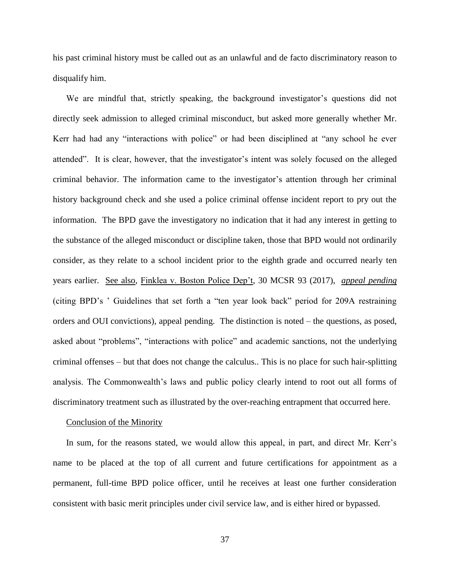his past criminal history must be called out as an unlawful and de facto discriminatory reason to disqualify him.

We are mindful that, strictly speaking, the background investigator's questions did not directly seek admission to alleged criminal misconduct, but asked more generally whether Mr. Kerr had had any "interactions with police" or had been disciplined at "any school he ever attended". It is clear, however, that the investigator's intent was solely focused on the alleged criminal behavior. The information came to the investigator's attention through her criminal history background check and she used a police criminal offense incident report to pry out the information. The BPD gave the investigatory no indication that it had any interest in getting to the substance of the alleged misconduct or discipline taken, those that BPD would not ordinarily consider, as they relate to a school incident prior to the eighth grade and occurred nearly ten years earlier. See also, Finklea v. Boston Police Dep't, 30 MCSR 93 (2017), *appeal pending* (citing BPD's ' Guidelines that set forth a "ten year look back" period for 209A restraining orders and OUI convictions), appeal pending. The distinction is noted – the questions, as posed, asked about "problems", "interactions with police" and academic sanctions, not the underlying criminal offenses – but that does not change the calculus.. This is no place for such hair-splitting analysis. The Commonwealth's laws and public policy clearly intend to root out all forms of discriminatory treatment such as illustrated by the over-reaching entrapment that occurred here.

#### Conclusion of the Minority

In sum, for the reasons stated, we would allow this appeal, in part, and direct Mr. Kerr's name to be placed at the top of all current and future certifications for appointment as a permanent, full-time BPD police officer, until he receives at least one further consideration consistent with basic merit principles under civil service law, and is either hired or bypassed.